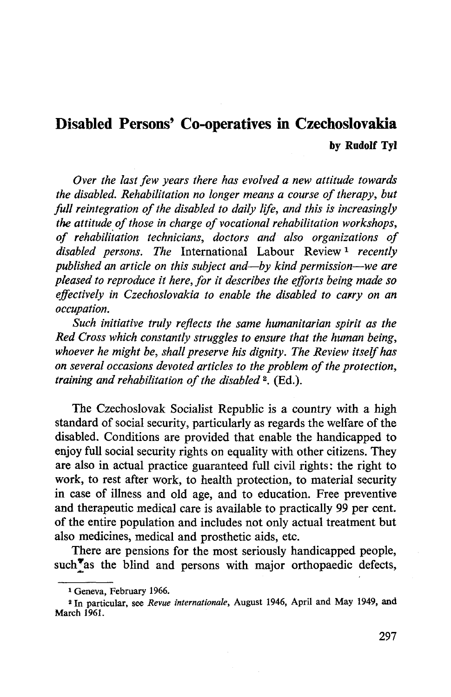# Disabled Persons' Co-operatives in Czechoslovakia **by Rudolf Tyl**

*Over the last few years there has evolved a new attitude towards the disabled. Rehabilitation no longer means a course of therapy, but full reintegration of the disabled to daily life, and this is increasingly the attitude of those in charge of vocational rehabilitation workshops, of rehabilitation technicians, doctors and also organizations of* disabled persons. The International Labour Review<sup>1</sup> recently *published an article on this subject and*—*by kind permission*—*we are pleased to reproduce it here, for it describes the efforts being made so effectively in Czechoslovakia to enable the disabled to carry on an occupation.*

*Such initiative truly reflects the same humanitarian spirit as the Red Cross which constantly struggles to ensure that the human being, whoever he might be, shall preserve his dignity. The Review itself has on several occasions devoted articles to the problem of the protection,* training and rehabilitation of the disabled<sup>2</sup>. (Ed.).

The Czechoslovak Socialist Republic is a country with a high standard of social security, particularly as regards the welfare of the disabled. Conditions are provided that enable the handicapped to enjoy full social security rights on equality with other citizens. They are also in actual practice guaranteed full civil rights: the right to work, to rest after work, to health protection, to material security in case of illness and old age, and to education. Free preventive and therapeutic medical care is available to practically 99 per cent, of the entire population and includes not only actual treatment but also medicines, medical and prosthetic aids, etc.

There are pensions for the most seriously handicapped people, such<sup>\*</sup>as the blind and persons with major orthopaedic defects,

<sup>&</sup>lt;sup>1</sup> Geneva, February 1966.

<sup>&</sup>lt;sup>2</sup> In particular, see Revue internationale, August 1946, April and May 1949, and March 1961.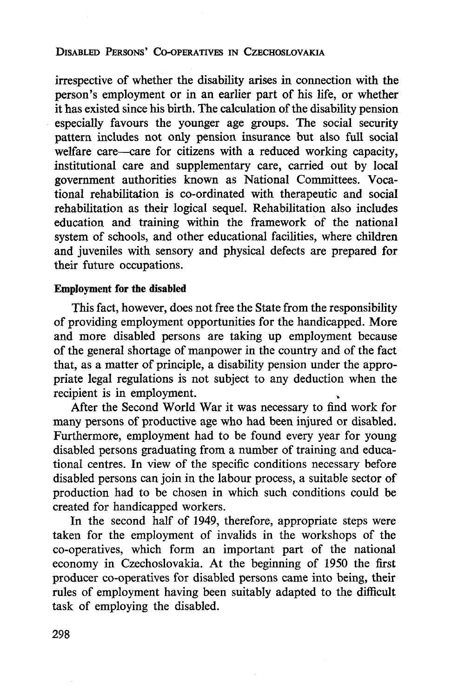### DISABLED PERSONS' CO-OPERATIVES IN CZECHOSLOVAKIA

irrespective of whether the disability arises in connection with the person's employment or in an earlier part of his life, or whether it has existed since his birth. The calculation of the disability pension especially favours the younger age groups. The social security pattern includes not only pension insurance but also full social welfare care—care for citizens with a reduced working capacity, institutional care and supplementary care, carried out by local government authorities known as National Committees. Vocational rehabilitation is co-ordinated with therapeutic and social rehabilitation as their logical sequel. Rehabilitation also includes education and training within the framework of the national system of schools, and other educational facilities, where children and juveniles with sensory and physical defects are prepared for their future occupations.

#### Employment for the disabled

This fact, however, does not free the State from the responsibility of providing employment opportunities for the handicapped. More and more disabled persons are taking up employment because of the general shortage of manpower in the country and of the fact that, as a matter of principle, a disability pension under the appropriate legal regulations is not subject to any deduction when the recipient is in employment.

After the Second World War it was necessary to find work for many persons of productive age who had been injured or disabled. Furthermore, employment had to be found every year for young disabled persons graduating from a number of training and educational centres. In view of the specific conditions necessary before disabled persons can join in the labour process, a suitable sector of production had to be chosen in which such conditions could be created for handicapped workers.

In the second half of 1949, therefore, appropriate steps were taken for the employment of invalids in the workshops of the co-operatives, which form an important part of the national economy in Czechoslovakia. At the beginning of 1950 the first producer co-operatives for disabled persons came into being, their rules of employment having been suitably adapted to the difficult task of employing the disabled.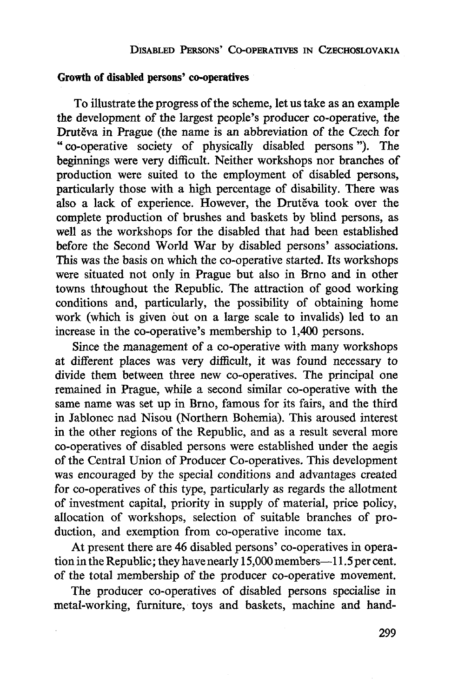# **n** Growth of disabled persons' co-operatives

To illustrate the progress of the scheme, let us take as an example the development of the largest people's producer co-operative, the Druteva in Prague (the name is an abbreviation of the Czech for " co-operative society of physically disabled persons"). The beginnings were very difficult. Neither workshops nor branches of production were suited to the employment of disabled persons, particularly those with a high percentage of disability. There was also a lack of experience. However, the Druteva took over the complete production of brushes and baskets by blind persons, as well as the workshops for the disabled that had been established before the Second World War by disabled persons' associations. This was the basis on which the co-operative started. Its workshops were situated not only in Prague but also in Brno and in other towns throughout the Republic. The attraction of good working conditions and, particularly, the possibility of obtaining home work (which is given out on a large scale to invalids) led to an increase in the co-operative's membership to 1,400 persons.

Since the management of a co-operative with many workshops at different places was very difficult, it was found necessary to divide them between three new co-operatives. The principal one remained in Prague, while a second similar co-operative with the same name was set up in Brno, famous for its fairs, and the third in Jablonec nad Nisou (Northern Bohemia). This aroused interest in the other regions of the Republic, and as a result several more co-operatives of disabled persons were established under the aegis of the Central Union of Producer Co-operatives. This development was encouraged by the special conditions and advantages created for co-operatives of this type, particularly as regards the allotment of investment capital, priority in supply of material, price policy, allocation of workshops, selection of suitable branches of production, and exemption from co-operative income tax.

At present there are 46 disabled persons' co-operatives in operation in the Republic; they have nearly 15,000 members—11.5 per cent, of the total membership of the producer co-operative movement.

The producer co-operatives of disabled persons specialise in metal-working, furniture, toys and baskets, machine and hand-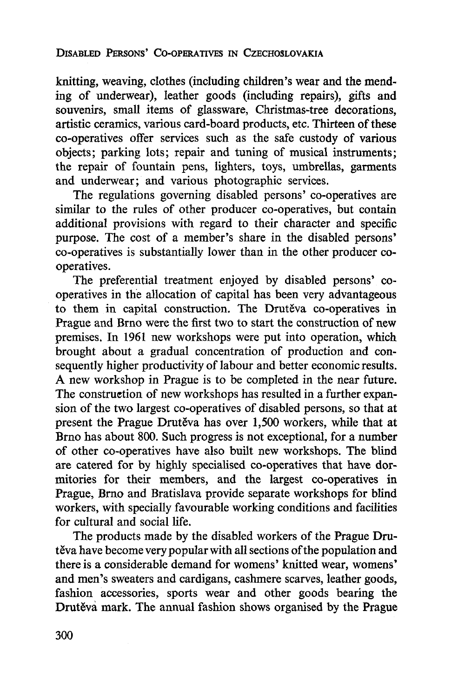knitting, weaving, clothes (including children's wear and the mending of underwear), leather goods (including repairs), gifts and souvenirs, small items of glassware, Christmas-tree decorations, artistic ceramics, various card-board products, etc. Thirteen of these co-operatives offer services such as the safe custody of various objects; parking lots; repair and tuning of musical instruments; the repair of fountain pens, lighters, toys, umbrellas, garments and underwear; and various photographic services.

The regulations governing disabled persons' co-operatives are similar to the rules of other producer co-operatives, but contain additional provisions with regard to their character and specific purpose. The cost of a member's share in the disabled persons' co-operatives is substantially lower than in the other producer cooperatives.

The preferential treatment enjoyed by disabled persons' cooperatives in the allocation of capital has been very advantageous to them in capital construction. The Druteva co-operatives in Prague and Brno were the first two to start the construction of new premises. In 1961 new workshops were put into operation, which brought about a gradual concentration of production and consequently higher productivity of labour and better economic results. A new workshop in Prague is to be completed in the near future. The construction of new workshops has resulted in a further expansion of the two largest co-operatives of disabled persons, so that at present the Prague Drutěva has over 1,500 workers, while that at Brno has about 800. Such progress is not exceptional, for a number of other co-operatives have also built new workshops. The blind are catered for by highly specialised co-operatives that have dormitories for their members, and the largest co-operatives in Prague, Brno and Bratislava provide separate workshops for blind workers, with specially favourable working conditions and facilities for cultural and social life.

The products made by the disabled workers of the Prague Druteva have become very popular with all sections of the population and there is a considerable demand for womens' knitted wear, womens' and men's sweaters and cardigans, cashmere scarves, leather goods, fashion accessories, sports wear and other goods bearing the Druteva mark. The annual fashion shows organised by the Prague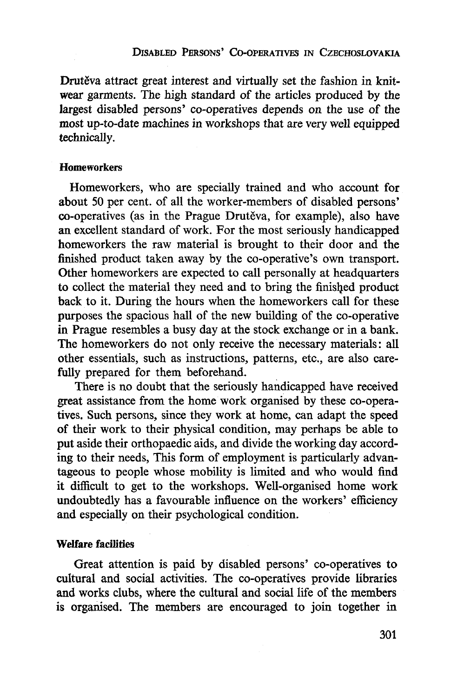Drutěva attract great interest and virtually set the fashion in knitwear garments. The high standard of the articles produced by the largest disabled persons' co-operatives depends on the use of the most up-to-date machines in workshops that are very well equipped technically.

#### **Homeworkers**

Homeworkers, who are specially trained and who account for about 50 per cent, of all the worker-members of disabled persons' co-operatives (as in the Prague Druteva, for example), also have an excellent standard of work. For the most seriously handicapped homeworkers the raw material is brought to their door and the finished product taken away by the co-operative's own transport. Other homeworkers are expected to call personally at headquarters to collect the material they need and to bring the finished product back to it. During the hours when the homeworkers call for these purposes the spacious hall of the new building of the co-operative in Prague resembles a busy day at the stock exchange or in a bank. The homeworkers do not only receive the necessary materials: all other essentials, such as instructions, patterns, etc., are also carefully prepared for them beforehand.

There is no doubt that the seriously handicapped have received great assistance from the home work organised by these co-operatives. Such persons, since they work at home, can adapt the speed of their work to their physical condition, may perhaps be able to put aside their orthopaedic aids, and divide the working day according to their needs, This form of employment is particularly advantageous to people whose mobility is limited and who would find it difficult to get to the workshops. Well-organised home work undoubtedly has a favourable influence on the workers' efficiency and especially on their psychological condition.

# Welfare facilities

Great attention is paid by disabled persons' co-operatives to cultural and social activities. The co-operatives provide libraries and works clubs, where the cultural and social life of the members is organised. The members are encouraged to join together in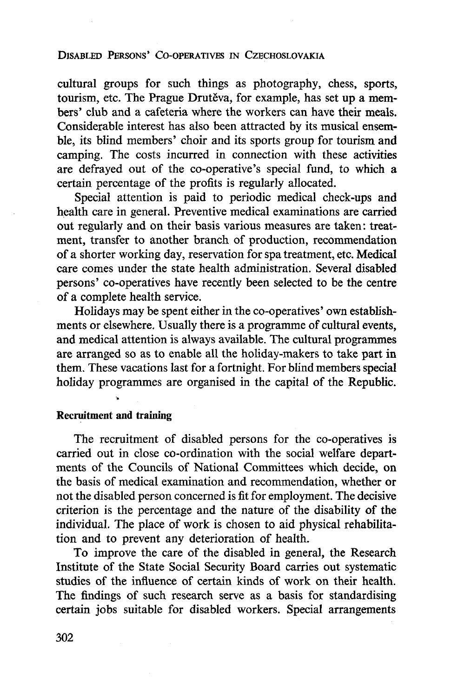## DISABLED PERSONS' CO-OPERATIVES IN CZECHOSLOVAKIA

cultural groups for such things as photography, chess, sports, tourism, etc. The Prague Drutěva, for example, has set up a members' club and a cafeteria where the workers can have their meals. Considerable interest has also been attracted by its musical ensemble, its blind members' choir and its sports group for tourism and camping. The costs incurred in connection with these activities are defrayed out of the co-operative's special fund, to which a certain percentage of the profits is regularly allocated.

Special attention is paid to periodic medical check-ups and health care in general. Preventive medical examinations are carried out regularly and on their basis various measures are taken: treatment, transfer to another branch of production, recommendation of a shorter working day, reservation for spa treatment, etc. Medical care comes under the state health administration. Several disabled persons' co-operatives have recently been selected to be the centre of a complete health service.

Holidays may be spent either in the co-operatives' own establishments or elsewhere. Usually there is a programme of cultural events, and medical attention is always available. The cultural programmes are arranged so as to enable all the holiday-makers to take part in them. These vacations last for a fortnight. For blind members special holiday programmes are organised in the capital of the Republic.

#### Recruitment and training

The recruitment of disabled persons for the co-operatives is carried out in close co-ordination with the social welfare departments of the Councils of National Committees which decide, on the basis of medical examination and recommendation, whether or not the disabled person concerned is fit for employment. The decisive criterion is the percentage and the nature of the disability of the individual. The place of work is chosen to aid physical rehabilitation and to prevent any deterioration of health.

To improve the care of the disabled in general, the Research Institute of the State Social Security Board carries out systematic studies of the influence of certain kinds of work on their health. The findings of such research serve as a basis for standardising certain jobs suitable for disabled workers. Special arrangements